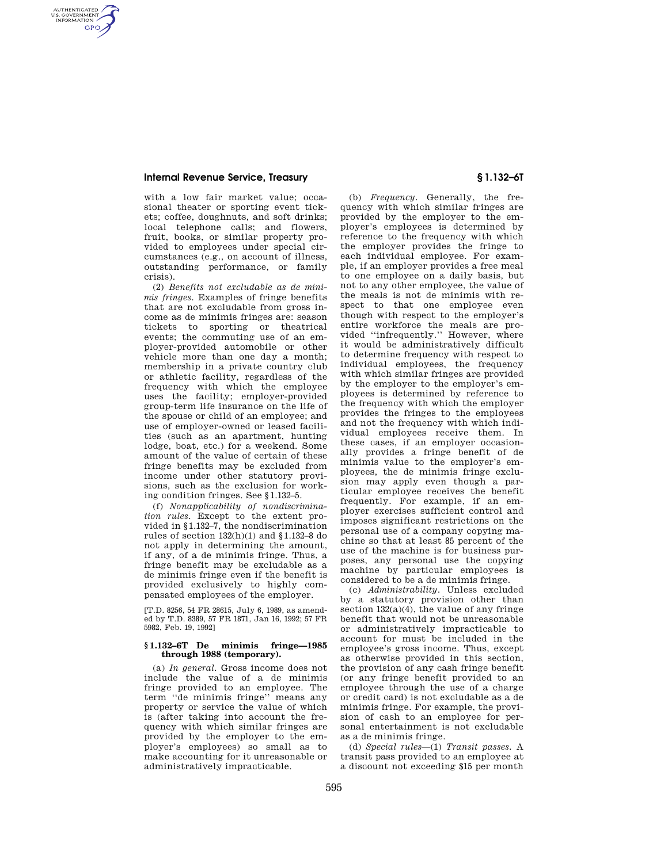## **Internal Revenue Service, Treasury § 1.132–6T**

AUTHENTICATED<br>U.S. GOVERNMENT<br>INFORMATION **GPO** 

> with a low fair market value; occasional theater or sporting event tickets; coffee, doughnuts, and soft drinks; local telephone calls; and flowers, fruit, books, or similar property provided to employees under special circumstances (e.g., on account of illness, outstanding performance, or family crisis).

(2) *Benefits not excludable as de minimis fringes.* Examples of fringe benefits that are not excludable from gross income as de minimis fringes are: season tickets to sporting or theatrical events; the commuting use of an employer-provided automobile or other vehicle more than one day a month; membership in a private country club or athletic facility, regardless of the frequency with which the employee uses the facility; employer-provided group-term life insurance on the life of the spouse or child of an employee; and use of employer-owned or leased facilities (such as an apartment, hunting lodge, boat, etc.) for a weekend. Some amount of the value of certain of these fringe benefits may be excluded from income under other statutory provisions, such as the exclusion for working condition fringes. See §1.132–5.

(f) *Nonapplicability of nondiscrimination rules.* Except to the extent provided in §1.132–7, the nondiscrimination rules of section 132(h)(1) and §1.132–8 do not apply in determining the amount, if any, of a de minimis fringe. Thus, a fringe benefit may be excludable as a de minimis fringe even if the benefit is provided exclusively to highly compensated employees of the employer.

[T.D. 8256, 54 FR 28615, July 6, 1989, as amended by T.D. 8389, 57 FR 1871, Jan 16, 1992; 57 FR 5982, Feb. 19, 1992]

## **§ 1.132–6T De minimis fringe—1985 through 1988 (temporary).**

(a) *In general.* Gross income does not include the value of a de minimis fringe provided to an employee. The term ''de minimis fringe'' means any property or service the value of which is (after taking into account the frequency with which similar fringes are provided by the employer to the employer's employees) so small as to make accounting for it unreasonable or administratively impracticable.

(b) *Frequency.* Generally, the frequency with which similar fringes are provided by the employer to the employer's employees is determined by reference to the frequency with which the employer provides the fringe to each individual employee. For example, if an employer provides a free meal to one employee on a daily basis, but not to any other employee, the value of the meals is not de minimis with respect to that one employee even though with respect to the employer's entire workforce the meals are provided ''infrequently.'' However, where it would be administratively difficult to determine frequency with respect to individual employees, the frequency with which similar fringes are provided by the employer to the employer's employees is determined by reference to the frequency with which the employer provides the fringes to the employees and not the frequency with which individual employees receive them. In these cases, if an employer occasionally provides a fringe benefit of de minimis value to the employer's employees, the de minimis fringe exclusion may apply even though a particular employee receives the benefit frequently. For example, if an employer exercises sufficient control and imposes significant restrictions on the personal use of a company copying machine so that at least 85 percent of the use of the machine is for business purposes, any personal use the copying machine by particular employees is considered to be a de minimis fringe.

(c) *Administrability.* Unless excluded by a statutory provision other than section  $132(a)(4)$ , the value of any fringe benefit that would not be unreasonable or administratively impracticable to account for must be included in the employee's gross income. Thus, except as otherwise provided in this section, the provision of any cash fringe benefit (or any fringe benefit provided to an employee through the use of a charge or credit card) is not excludable as a de minimis fringe. For example, the provision of cash to an employee for personal entertainment is not excludable as a de minimis fringe.

(d) *Special rules*—(1) *Transit passes.* A transit pass provided to an employee at a discount not exceeding \$15 per month